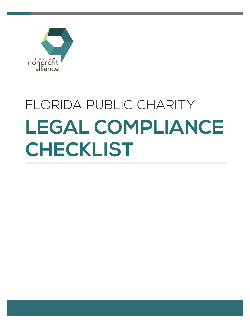

# **LEGAL COMPLIANCE CHECKLIST** FLORIDA PUBLIC CHARITY

ww.flnonprofits.org 6/1/2012 and 6/1/2012 and 6/1/2012 and 6/1/2012 and 6/1/2012 and 6/1/2012 and 6/1/2012 and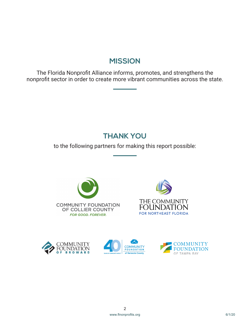### **MISSION**

The Florida Nonprofit Alliance informs, promotes, and strengthens the nonprofit sector in order to create more vibrant communities across the state.

## **THANK YOU**

to the following partners for making this report possible:









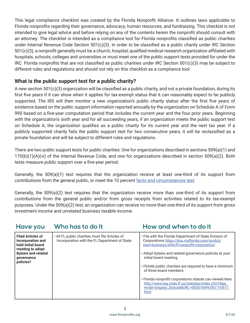This legal compliance checklist was created by the Florida Nonprofit Alliance. It outlines laws applicable to Florida nonprofits regarding their governance, advocacy, human resources, and fundraising. This checkist is not intended to give legal advice and before relying on any of the contents herein the nonprofit should consult with an attorney. The checklist is intended as a compliance tool for Florida nonprofits classified as public charities under Internal Revenue Code Section 501(c)(3). In order to be classified as a public charity under IRC Section 501(c)(3), a nonprofit generally must be a church, hospital, qualified medical research organization affiliated with hospitals, schools, colleges and universities or must meet one of the public support tests provided for under the IRC. Florida nonprofits that are not classified as public charities under IRC Section 501(c)(3) may be subject to different rules and regulations and should not rely on this checklist as a compliance tool.

#### **What is the public support test for a public charity?**

A new section 501(c)(3) organization will be classified as a public charity, and not a private foundation, during its first five years if it can show when it applies for tax-exempt status that it can reasonably expect to be publicly supported. The IRS will then monitor a new organization's public charity status after the first five years of existence based on the public support information reported annually by the organization on Schedule A of Form 990 based on a five-year computation period that includes the current year and the four prior years. Beginning with the organization's sixth year and for all succeeding years, if an organization meets the public support test on Schedule A, the organization qualifies as a public charity for its current year and the next tax year. If a publicly supported charity fails the public support test for two consecutive years, it will be reclassified as a private foundation and will be subject to different rules and regulations.

There are two public support tests for public charities: One for organizations described in sections 509(a)(1) and 170(b)(1)(A)(vi) of the Internal Revenue Code, and one for organizations described in section 509(a)(2). Both tests measure public support over a five-year period.

Generally, the 509(a)(1) test requires that the organization receive at least one-third of its support from contributions from the general public, or meet the 10 percent [facts and circumstances test.](https://www.irs.gov/charities-non-profits/exempt-organizations-annual-reporting-requirements-form-990-schedules-a-and-b-facts-and-circumstances-public-support-test)

Generally, the 509(a)(2) test requires that the organization receive more than one-third of its support from contributions from the general public and/or from gross receipts from activities related to its tax-exempt purposes. Under the 509(a)(2) test, an organization can receive no more than one-third of its support from gross investment income and unrelated business taxable income.

| <b>Have you</b>                                                                                                                                 | Who has to do it                                                                                  | How and when to do it                                                                                                                                                                                                                                                                                                                                                                                                                                                                                               |
|-------------------------------------------------------------------------------------------------------------------------------------------------|---------------------------------------------------------------------------------------------------|---------------------------------------------------------------------------------------------------------------------------------------------------------------------------------------------------------------------------------------------------------------------------------------------------------------------------------------------------------------------------------------------------------------------------------------------------------------------------------------------------------------------|
| <b>Filed Articles of</b><br>Incorporation and<br>held initial board<br>meeting to adopt<br><b>Bylaws and related</b><br>qovernance<br>policies? | . All FL public charities must file Articles of<br>Incorporation with the FL Department of State. | • File with the Florida Department of State Division of<br>Corporations https://dos.myflorida.com/sunbiz/<br>start-business/efile/fl-nonprofit-corporation/<br>• Adopt bylaws and related governance policies at your<br>initial board meeting.<br>· Florida public charities are required to have a minimum<br>of three board members.<br>· Florida nonprofit corporations statute can viewed here.<br>http://www.leg.state.fl.us/statutes/index.cfm?App_<br>mode=Display_Statute&URL=0600-0699/0617/0617.<br>html |

#### 3 www.flnonprofits.org 6/1/20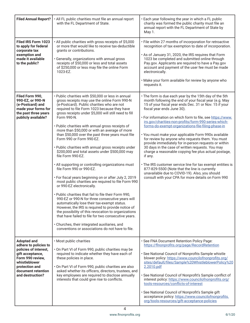| <b>Filed Annual Report?</b>                                                                                                                                                               | · All FL public charities must file an annual report<br>with the FL Department of State.                                                                                                                                                                                                                                                                                                                                                                                                                                                                                                                                                                                                                                                                                                                                                                                                                                                                                                                                                                                                                                                                                                                                                                      | . Each year following the year in which a FL public<br>charity was formed the public charity must file an<br>annual report with the FL Department of State by<br>May 1.                                                                                                                                                                                                                                                                                                                                                                                                                                                                                                                                                                                                                                                                                                                             |
|-------------------------------------------------------------------------------------------------------------------------------------------------------------------------------------------|---------------------------------------------------------------------------------------------------------------------------------------------------------------------------------------------------------------------------------------------------------------------------------------------------------------------------------------------------------------------------------------------------------------------------------------------------------------------------------------------------------------------------------------------------------------------------------------------------------------------------------------------------------------------------------------------------------------------------------------------------------------------------------------------------------------------------------------------------------------------------------------------------------------------------------------------------------------------------------------------------------------------------------------------------------------------------------------------------------------------------------------------------------------------------------------------------------------------------------------------------------------|-----------------------------------------------------------------------------------------------------------------------------------------------------------------------------------------------------------------------------------------------------------------------------------------------------------------------------------------------------------------------------------------------------------------------------------------------------------------------------------------------------------------------------------------------------------------------------------------------------------------------------------------------------------------------------------------------------------------------------------------------------------------------------------------------------------------------------------------------------------------------------------------------------|
| Filed IRS Form 1023<br>to apply for federal<br>corporate tax<br>exemption and<br>made it available<br>to the public?                                                                      | . All public charities with gross receipts of \$5,000<br>or more that would like to receive tax-deductible<br>grants or contributions.<br>· Generally, organizations with annual gross<br>receipts of \$50,000 or less and total assets<br>of \$250,000 or less may file the online Form<br>1023-EZ.                                                                                                                                                                                                                                                                                                                                                                                                                                                                                                                                                                                                                                                                                                                                                                                                                                                                                                                                                          | · File within 27 months of incorporation for retroactive<br>recognition of tax exemption to date of incorporation.<br>. As of January 31, 2020, the IRS requires that Form<br>1023 be completed and submitted online through<br>Pay.gov. Applicants are required to have a Pay.gov<br>account and payment of the user fee must be made<br>electronically.<br>. Make your form available for review by anyone who<br>requests it.                                                                                                                                                                                                                                                                                                                                                                                                                                                                    |
| Filed Form 990,<br>990-EZ, or 990-N<br>(e-Postcard) and<br>made your forms for<br>the past three years<br>publicly available?                                                             | · Public charities with \$50,000 or less in annual<br>gross receipts may use the online Form 990-N<br>(e-Postcard). Public charities who are not<br>required to file Form 1023 because they have<br>gross receipts under \$5,000 will still need to fill<br>Form 990-N.<br>· Public charities with annual gross receipts of<br>more than \$50,000 or with an average of more<br>than \$50,000 over the past three years must file<br>Form 990 or Form 990-EZ.<br>· Public charities with annual gross receipts under<br>\$200,000 and total assets under \$500,000 may<br>file Form 990-EZ.<br>. All supporting or controlling organizations must<br>file Form 990 or 990-EZ.<br>· For fiscal years beginning on or after July 2, 2019<br>most public charities are required to file Form 990<br>or 990-EZ electronically.<br>. Public charities that fail to file their Form 990,<br>990-EZ or 990-N for three consecutive years will<br>automatically lose their tax-exempt status.<br>However, the IRS is required to provide notice of<br>the possibility of this revocation to organizations<br>that have failed to file for two consecutive years.<br>· Churches, their integrated auxiliaries, and<br>conventions or associations do not have to file. | • The form is due each year by the 15th day of the 5th<br>month following the end of your fiscal year (e.g. May<br>15 of your fiscal year ends Dec. 31 or Nov. 15 if your<br>fiscal year ends June 30).<br>. For information on which form to file, see https://www.<br>irs.gov/charities-non-profits/form-990-series-which-<br>forms-do-exempt-organizations-file-filing-phase-in<br>· You must make your applicable Form 990s available<br>for review by anyone who requests them. You must<br>provide immediately for in-person requests or within<br>30 days in the case of written requests. You may<br>charge a reasonable copying fee plus actual postage,<br>if any.<br>• The IRS customer service line for tax exempt entities is<br>877-829-5500 (Note that the line is currently<br>unavailable due to COVID-19). Also, you should<br>consult with your CPA for more details on Form 990 |
| <b>Adopted and</b><br>adhere to policies to<br>policies of interest,<br>gift acceptance,<br>Form 990 review,<br>whistleblower<br>protection and<br>document retention<br>and destruction? | · Most public charities<br>. On Part VI of Form 990, public charities may be<br>required to indicate whether they have each of<br>these policies in place.<br>. On Part VI of Form 990, public charities are also<br>asked whether its officers, directors, trustees, and<br>key employees are required to disclose annually<br>interests that could give rise to conflicts.                                                                                                                                                                                                                                                                                                                                                                                                                                                                                                                                                                                                                                                                                                                                                                                                                                                                                  | · See FNA Document Retention Policy Page:<br>https://flnonprofits.org/page/RecordRetention<br>· See National Council of Nonprofits Sample whistle<br>blower policy: https://www.councilofnonprofits.org/<br>sites/default/files/Sample%20WhistleblowerPolicy%20<br>2.2010.pdf<br>· See National Council of Nonprofit's Sample conflict of<br>interest policy: https://www.councilofnonprofits.org/<br>tools-resources/conflicts-of-interest<br>· See National Council of Nonprofit's Sample gift<br>acceptance policy: https://www.councilofnonprofits.<br>org/tools-resources/gift-acceptance-policies                                                                                                                                                                                                                                                                                             |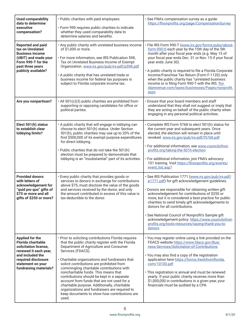| <b>Used comparability</b><br>data to determine<br>executive<br>compensation?                                                                                                                    | • Public charities with paid employees<br>· Form 990 requires public charities to indicate<br>whether they used comparability data to<br>determine salaries and benefits.                                                                                                                                                                                                                                                                                                                                                                                                                                           | · See FNA's compensation survey as a guide:<br>https://flnonprofits.org/page/CompensationSurvey                                                                                                                                                                                                                                                                                                                                                                                                                                       |
|-------------------------------------------------------------------------------------------------------------------------------------------------------------------------------------------------|---------------------------------------------------------------------------------------------------------------------------------------------------------------------------------------------------------------------------------------------------------------------------------------------------------------------------------------------------------------------------------------------------------------------------------------------------------------------------------------------------------------------------------------------------------------------------------------------------------------------|---------------------------------------------------------------------------------------------------------------------------------------------------------------------------------------------------------------------------------------------------------------------------------------------------------------------------------------------------------------------------------------------------------------------------------------------------------------------------------------------------------------------------------------|
| <b>Reported and paid</b><br>tax on Unrelated<br><b>Business Income</b><br>(UBIT) and made your<br>Form 990-T for the<br>past three years<br>publicly available?                                 | . Any public charity with unrelated business income<br>of \$1,000 or more.<br>· For more information, see IRS Publication 598,<br>Tax on Unrelated Business Income of Exempt<br>Organization. www.irs.gov/pub/irs-pdf/p598.pdf<br>. A public charity that has unrelated trade or<br>business income for federal tax purposes is<br>subject to Florida corporate income tax.                                                                                                                                                                                                                                         | · File IRS Form 990-T (www.irs.gov/forms-pubs/about-<br>form-990-t) each year by the 15th day of the 5th<br>month after your fiscal year ends (e.g. May 15 of<br>your fiscal year ends Dec. 31 or Nov. 15 if your fiscal<br>year ends June 30).<br>• A public charity is required to file a Florida Corporate<br>Income/Franchise Tax Return (Form F-1120) only<br>when the public charity has "unrelated business<br>income or is filing Form 990-T with the IRS. flor<br>idarevenue.com/taxes/businesses/Pages/nonprofit.<br>aspx   |
| Are you nonpartisan?                                                                                                                                                                            | · All 501(c)(3) public charities are prohibited from<br>supporting or opposing candidates for office or<br>political parties.                                                                                                                                                                                                                                                                                                                                                                                                                                                                                       | · Ensure that your board members and staff<br>understand that they shall not suggest or imply that<br>they are acting on behalf of the public charity when<br>engaging in any personal political activities.                                                                                                                                                                                                                                                                                                                          |
| Elect 501(h) status<br>to establish clear<br>lobbying limits?                                                                                                                                   | . A public charity that will engage in lobbying can<br>choose to elect 501(h) status. Under Section<br>501(h), public charities may use up to 20% of the<br>first \$500,000 of its exempt purpose expenditures<br>for direct lobbying.<br>. Public charities that do not take the 501(h)<br>election must be prepared to demonstrate that<br>lobbying is an "insubstantial" part of its activities.                                                                                                                                                                                                                 | • Complete IRS Form 5768 to elect 501(h) status for<br>the current year and subsequent years. Once<br>elected, the election will remain in place until<br>revoked. www.irs.gov/pub/irs-pdf/f5768.pdf<br>· For additional information, see www.councilofnon<br>profits.org/taking-the-501h-election<br>· For additional information, join FNA's advocacy<br>101 training. Visit https://flnonprofits.org/events/<br>event_list.asp?                                                                                                    |
| <b>Provided donors</b><br>with letters of<br>acknowledgement for<br>"quid pro quo" gifts of<br>\$75 or more and all<br>gifts of \$250 or more?                                                  | • Every public charity that provides goods or<br>services to donors in exchange for contributions<br>above \$75, must disclose the value of the goods<br>and services received by the donor, and only<br>the amount contributed in excess of this value is<br>tax-deductible to the donor.                                                                                                                                                                                                                                                                                                                          | · See IRS Publication 1771 (www.irs.gov/pub/irs-pdf/<br>p1771.pdf) for gift acknowledgement guidelines.<br>• Donors are responsible for obtaining written gift<br>acknowledgement for contributions of \$250 or<br>more, but it is considered a best practice for public<br>charities to send timely gift acknowledgements to<br>donors for all contributions.<br>· See National Council of Nonprofit's Sample gift<br>acknowledgement policy: https://www.councilofnon<br>profits.org/tools-resources/saying-thank-you-to-<br>donors |
| <b>Applied for the</b><br><b>Florida charitable</b><br>solicitation license,<br>renewed it each year,<br>and included the<br>required disclosure<br>statement on your<br>fundraising materials? | • Prior to soliciting contributions Florida requires<br>that the public charity register with the Florida<br>Department of Agriculture and Consumer<br>Services (FDACS).<br>• Charitable organizations and fundraisers that<br>solicit contributions are prohibited from<br>commingling charitable contributions with<br>noncharitable funds. This means that<br>contributions should be kept in a separate<br>account from funds that are not used for a<br>charitable purpose. Additionally, charitable<br>organizations and fundraisers are required to<br>keep documents to show how contributions are<br>used. | • You may register online using a link provided on the<br>FDACS website https://www.fdacs.gov/Busi<br>ness-Services/Solicitation-of-Contributions<br>• You may also find a copy of the registration<br>application here https://forms.freshfromflorida.<br>com/10100.pdf<br>· This registration is annual and must be renewed<br>yearly. If your public charity receives more than<br>\$1,000,000 in contributions in a given year, your<br>financials must be audited by a CPA.                                                      |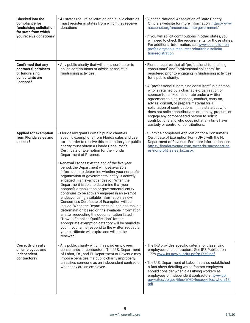| <b>Checked into the</b><br>compliance for<br>fundraising solicitation<br>for state from which<br>you receive donations? | . 41 states require solicitation and public charities<br>must register in states from which they receive<br>donations                                                                                                                                                                                                                                                                                                                                                                                                                                                                                                                                                                                                                                                                                                                                                                                                                                                                                                                                                                                                                                | . Visit the National Association of State Charity<br>Officials website for more information: https://www.<br>nasconet.org/resources/state-government/<br>. If you will solicit contributions in other states, you<br>will need to check the requirements for those states.<br>For additional information, see www.councilofnon<br>profits.org/tools-resources/charitable-solicita<br>tion-registration                                                                                                                                                                                                                                                                                                         |
|-------------------------------------------------------------------------------------------------------------------------|------------------------------------------------------------------------------------------------------------------------------------------------------------------------------------------------------------------------------------------------------------------------------------------------------------------------------------------------------------------------------------------------------------------------------------------------------------------------------------------------------------------------------------------------------------------------------------------------------------------------------------------------------------------------------------------------------------------------------------------------------------------------------------------------------------------------------------------------------------------------------------------------------------------------------------------------------------------------------------------------------------------------------------------------------------------------------------------------------------------------------------------------------|----------------------------------------------------------------------------------------------------------------------------------------------------------------------------------------------------------------------------------------------------------------------------------------------------------------------------------------------------------------------------------------------------------------------------------------------------------------------------------------------------------------------------------------------------------------------------------------------------------------------------------------------------------------------------------------------------------------|
| <b>Confirmed that any</b><br>contract fundraisers<br>or fundraising<br>consultants are<br>licensed?                     | . Any public charity that will use a contractor to<br>solicit contributions or advise or assist in<br>fundraising activities.                                                                                                                                                                                                                                                                                                                                                                                                                                                                                                                                                                                                                                                                                                                                                                                                                                                                                                                                                                                                                        | · Florida requires that all "professional fundraising<br>consultants" and "professional solicitors" be<br>registered prior to engaging in fundraising activities<br>for a public charity.<br>• A "professional fundraising consultant" is a person<br>who is retained by a charitable organization or<br>sponsor for a fixed fee or rate under a written<br>agreement to plan, manage, conduct, carry on,<br>advise, consult, or prepare material for a<br>solicitation of contributions in this state but who<br>does not solicit contributions or employ, procure, or<br>engage any compensated person to solicit<br>contributions and who does not at any time have<br>custody or control of contributions. |
| <b>Applied for exemption</b><br>from Florida sales and<br>use tax?                                                      | · Florida law grants certain public charities<br>specific exemptions from Florida sales and use<br>tax. In order to receive this exemption your public<br>charity must obtain a Florida Consumer's<br>Certificate of Exemption for the Florida<br>Department of Revenue.<br>· Renewal Process: At the end of the five-year<br>period, the Department will use available<br>information to determine whether your nonprofit<br>organization or governmental entity is actively<br>engaged in an exempt endeavor. When the<br>Department is able to determine that your<br>nonprofit organization or governmental entity<br>continues to be actively engaged in an exempt<br>endeavor using available information, a new<br>Consumer's Certificate of Exemption will be<br>issued. When the Department is unable to make a<br>determination based on the available information,<br>a letter requesting the documentation listed in<br>"How to Establish Qualification" for the<br>appropriate exemption category will be mailed to<br>you. If you fail to respond to the written requests,<br>your certificate will expire and will not be<br>renewed. | · Submit a completed Application for a Consumer's<br>Certificate of Exemption Form DR-5 with the FL<br>Department of Revenue. For more information, see<br>https://floridarevenue.com/taxes/businesses/Pag<br>es/nonprofit_sales_tax.aspx                                                                                                                                                                                                                                                                                                                                                                                                                                                                      |
| <b>Correctly classify</b><br>all employees and<br>independent<br>contractors?                                           | . Any public charity which has paid employees,<br>consultants, or contractors. The U.S. Department<br>of Labor, IRS, and FL Department of Revenue may<br>impose penalties if a public charity improperly<br>classifies someone as an independent contractor<br>when they are an employee.                                                                                                                                                                                                                                                                                                                                                                                                                                                                                                                                                                                                                                                                                                                                                                                                                                                            | · The IRS provides specific criteria for classifying<br>employees and contractors. See IRS Publication<br>1779 www.irs.gov/pub/irs-pdf/p1779.pdf<br>· The U.S. Department of Labor has also established<br>a fact sheet detailing which factors employers<br>should consider when classifying workers as<br>employees or independent contractors. www.dol.<br>gov/sites/dolgov/files/WHD/legacy/files/whdfs13.<br>pdf                                                                                                                                                                                                                                                                                          |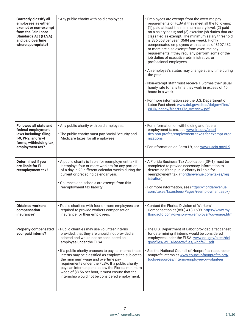| <b>Correctly classify all</b><br>employees as either<br>exempt or non-exempt<br>from the Fair Labor<br><b>Standards Act (FLSA)</b><br>and paid overtime<br>where appropriate? | . Any public charity with paid employees.                                                                                                                                                                                                                                                                                                                                                                                                                                                                                               | · Employees are exempt from the overtime pay<br>requirements of FLSA if they meet all the following:<br>(1) paid at least the minimum salary level; (2) paid<br>on a salary basis; and (3) exercise job duties that are<br>classified as exempt. The minimum salary threshold<br>is \$35,568 per year (\$684 per week). Highly<br>compensated employees with salaries of \$107,432<br>or more are also exempt from overtime pay<br>requirements if they regularly perform some of the<br>job duties of executive, administrative, or<br>professional employees.<br>. An employee's status may change at any time during<br>the year.<br>. Non-exempt staff must receive 1.5 times their usual<br>hourly rate for any time they work in excess of 40<br>hours in a week.<br>• For more information see the U.S. Department of<br>Labor Fact sheet: www.dol.gov/sites/dolgov/files/<br>WHD/legacy/files/fs17a_overview.pdf |
|-------------------------------------------------------------------------------------------------------------------------------------------------------------------------------|-----------------------------------------------------------------------------------------------------------------------------------------------------------------------------------------------------------------------------------------------------------------------------------------------------------------------------------------------------------------------------------------------------------------------------------------------------------------------------------------------------------------------------------------|--------------------------------------------------------------------------------------------------------------------------------------------------------------------------------------------------------------------------------------------------------------------------------------------------------------------------------------------------------------------------------------------------------------------------------------------------------------------------------------------------------------------------------------------------------------------------------------------------------------------------------------------------------------------------------------------------------------------------------------------------------------------------------------------------------------------------------------------------------------------------------------------------------------------------|
| <b>Followed all state and</b><br>federal employment<br>laws including: filing<br>I-9, W-2, and W-4<br>forms; withholding tax;<br>employment tax?                              | . Any public charity with paid employees.<br>. The public charity must pay Social Security and<br>Medicare taxes for all employees.                                                                                                                                                                                                                                                                                                                                                                                                     | · For information on withholding and federal<br>employment taxes, see www.irs.gov/chari<br>ties-non-profits/employment-taxes-for-exempt-orga<br>nizations<br>· For information on Form I-9, see www.uscis.gov/i-9                                                                                                                                                                                                                                                                                                                                                                                                                                                                                                                                                                                                                                                                                                        |
| <b>Determined if you</b><br>are liable for FL<br>reemployment tax?                                                                                                            | . A public charity is liable for reemployment tax if<br>it employs four or more workers for any portion<br>of a day in 20 different calendar weeks during the<br>current or preceding calendar year.<br>• Churches and schools are exempt from this<br>reemployment tax liability.                                                                                                                                                                                                                                                      | • A Florida Business Tax Application (DR-1) must be<br>completed to provide necessary information to<br>determine if the public charity is liable for<br>reemployment tax. (floridarevenue.com/taxes/reg<br><i>istration</i> )<br>· For more information, see (https://floridarevenue.<br>com/taxes/taxesfees/Pages/reemployment.aspx)                                                                                                                                                                                                                                                                                                                                                                                                                                                                                                                                                                                   |
| <b>Obtained workers'</b><br>compensation<br>insurance?                                                                                                                        | • Public charities with four or more employees are<br>required to provide workers compensation<br>insurance for their employees.                                                                                                                                                                                                                                                                                                                                                                                                        | • Contact the Florida Division of Workers'<br>Compensation at (850) 413-1609. https://www.my<br>floridacfo.com/division/wc/employer/coverage.htm                                                                                                                                                                                                                                                                                                                                                                                                                                                                                                                                                                                                                                                                                                                                                                         |
| <b>Properly compensated</b><br>your paid interns?                                                                                                                             | · Public charities may use volunteer interns<br>provided, that they are unpaid, not provided a<br>stipend and would not be considered an<br>employee under the FLSA.<br>. If a public charity chooses to pay its interns, these<br>interns may be classified as employees subject to<br>the minimum wage and overtime pay<br>requirements under the FLSA. If a public charity<br>pays an intern stipend below the Florida minimum<br>wage of \$8.56 per hour, it must ensure that the<br>internship would not be considered employment. | • The U.S. Department of Labor provided a fact sheet<br>for determining if interns would be considered<br>employees under the FLSA. www.dol.gov/sites/dol<br>gov/files/WHD/legacy/files/whdfs71.pdf<br>· See the National Council of Nonprofits' resource on<br>nonprofit interns at www.councilofnonprofits.org/<br>tools-resources/interns-employee-or-volunteer                                                                                                                                                                                                                                                                                                                                                                                                                                                                                                                                                       |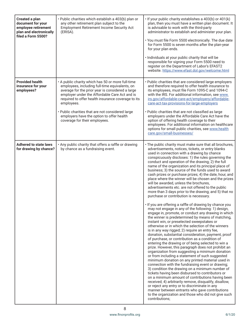| Created a plan<br>document for your<br>employee retirement<br>plan and electronically<br>filed a Form 5500? | · Public charities which establish a 403(b) plan or<br>any other retirement plan subject to the<br><b>Employment Retirement Income Security Act</b><br>(ERISA).                                                                                                                                                                                                                                                | . If your public charity establishes a 403(b) or 401(k)<br>plan, then you must have a written plan document. It<br>is advisable to work with the third-party<br>administrator to establish and administer your plan.<br>· You must file Form 5500 electronically. The due date<br>for Form 5500 is seven months after the plan-year<br>for your plan ends.<br>· Individuals at your public charity that will be<br>responsible for signing your Form 5500 need to<br>register on the Department of Labor's EFAST2<br>website. https://www.efast.dol.gov/welcome.html                                                                                                                                                                                                                                                                                                                                                                                                                                                                                                                                                                                                                                                                                                                                                                                                                                                                                                                                                                                                                                                                                                                                                                                                                                                                                                                                                              |
|-------------------------------------------------------------------------------------------------------------|----------------------------------------------------------------------------------------------------------------------------------------------------------------------------------------------------------------------------------------------------------------------------------------------------------------------------------------------------------------------------------------------------------------|-----------------------------------------------------------------------------------------------------------------------------------------------------------------------------------------------------------------------------------------------------------------------------------------------------------------------------------------------------------------------------------------------------------------------------------------------------------------------------------------------------------------------------------------------------------------------------------------------------------------------------------------------------------------------------------------------------------------------------------------------------------------------------------------------------------------------------------------------------------------------------------------------------------------------------------------------------------------------------------------------------------------------------------------------------------------------------------------------------------------------------------------------------------------------------------------------------------------------------------------------------------------------------------------------------------------------------------------------------------------------------------------------------------------------------------------------------------------------------------------------------------------------------------------------------------------------------------------------------------------------------------------------------------------------------------------------------------------------------------------------------------------------------------------------------------------------------------------------------------------------------------------------------------------------------------|
| <b>Provided health</b><br>insurance for your<br>employees?                                                  | . A public charity which has 50 or more full-time<br>employees, including full-time equivalents, on<br>average for the prior year is considered a large<br>employer under the Affordable Care Act and is<br>required to offer health insurance coverage to its<br>employees.<br>. Public charities that are not considered large<br>employers have the option to offer health<br>coverage for their employees. | • Public charities that are considered large employers<br>and therefore required to offer health insurance to<br>its employees, must file Form 1095-C and 1094-C<br>with the IRS. For additional information, see www.<br>irs.gov/affordable-care-act/employers/affordable-<br>care-act-tax-provisions-for-large-employers<br>· Public charities that are not classified as large<br>employers under the Affordable Care Act have the<br>option of offering health coverage to their<br>employees. For additional information on healthcare<br>options for small public charities, see www.health<br>care.gov/small-businesses/                                                                                                                                                                                                                                                                                                                                                                                                                                                                                                                                                                                                                                                                                                                                                                                                                                                                                                                                                                                                                                                                                                                                                                                                                                                                                                   |
| <b>Adhered to state laws</b><br>for drawing by chance?                                                      | . Any public charity that offers a raffle or drawing<br>by chance as a fundraising event.                                                                                                                                                                                                                                                                                                                      | . The public charity must make sure that all brochures,<br>advertisements, notices, tickets, or entry blanks<br>used in connection with a drawing by chance<br>conspicuously discloses: 1) the rules governing the<br>conduct and operation of the drawing; 2) the full<br>name of the organization and its principal place of<br>business; 3) the source of the funds used to award<br>cash prizes or purchase prizes; 4) the date, hour, and<br>place where the winner will be chosen and the prizes<br>will be awarded, unless the brochures,<br>advertisements etc. are not offered to the public<br>more than 3 days prior to the drawing; and 5) that no<br>purchase or contribution is necessary.<br>· If you are offering a raffle of drawing by chance you<br>may not engage in any of the following: 1) design,<br>engage in, promote, or conduct any drawing in which<br>the winner is predetermined by means of matching,<br>instant win, or preselected sweepstakes or<br>otherwise or in which the selection of the winners<br>is in any way rigged; 2) require an entry fee,<br>donation, substantial consideration, payment, proof<br>of purchase, or contribution as a condition of<br>entering the drawing or of being selected to win a<br>prize. However, this paragraph does not prohibit an<br>organization from suggesting a minimum donation<br>or from including a statement of such suggested<br>minimum donation on any printed material used in<br>connection with the fundraising event or drawing;<br>3) condition the drawing on a minimum number of<br>tickets having been disbursed to contributors or<br>on a minimum amount of contributions having been<br>received; 4) arbitrarily remove, disqualify, disallow,<br>or reject any entry or to discriminate in any<br>manner between entrants who gave contributions<br>to the organization and those who did not give such<br>contributions; |